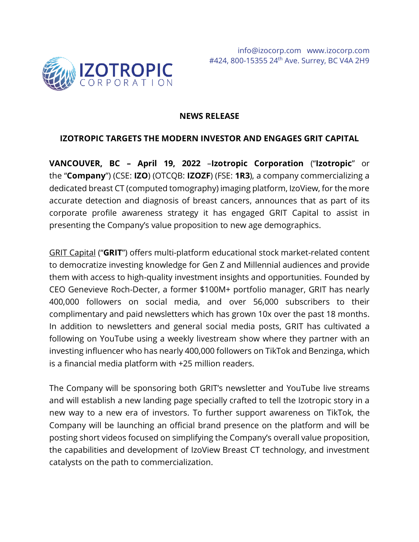

#### **NEWS RELEASE**

#### **IZOTROPIC TARGETS THE MODERN INVESTOR AND ENGAGES GRIT CAPITAL**

**VANCOUVER, BC – April 19, 2022** –**Izotropic Corporation** ("**Izotropic**" or the "**Company**") (CSE: **IZO**) (OTCQB: **IZOZF**) (FSE: **1R3**), a company commercializing a dedicated breast CT (computed tomography) imaging platform, IzoView, for the more accurate detection and diagnosis of breast cancers, announces that as part of its corporate profile awareness strategy it has engaged GRIT Capital to assist in presenting the Company's value proposition to new age demographics.

[GRIT Capital](https://gritcap.io/) ("**GRIT**") offers multi-platform educational stock market-related content to democratize investing knowledge for Gen Z and Millennial audiences and provide them with access to high-quality investment insights and opportunities. Founded by CEO Genevieve Roch-Decter, a former \$100M+ portfolio manager, GRIT has nearly 400,000 followers on social media, and over 56,000 subscribers to their complimentary and paid newsletters which has grown 10x over the past 18 months. In addition to newsletters and general social media posts, GRIT has cultivated a following on YouTube using a weekly livestream show where they partner with an investing influencer who has nearly 400,000 followers on TikTok and Benzinga, which is a financial media platform with +25 million readers.

The Company will be sponsoring both GRIT's newsletter and YouTube live streams and will establish a new landing page specially crafted to tell the Izotropic story in a new way to a new era of investors. To further support awareness on TikTok, the Company will be launching an official brand presence on the platform and will be posting short videos focused on simplifying the Company's overall value proposition, the capabilities and development of IzoView Breast CT technology, and investment catalysts on the path to commercialization.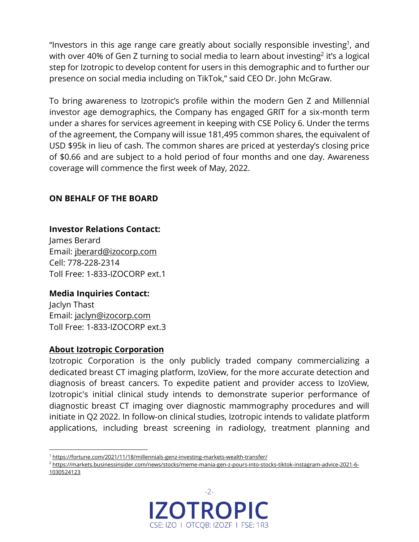"Investors in this age range care greatly about socially responsible investing<sup>1</sup>, and with over 40% of Gen Z turning to social media to learn about investing<sup>2</sup> it's a logical step for Izotropic to develop content for users in this demographic and to further our presence on social media including on TikTok," said CEO Dr. John McGraw.

To bring awareness to Izotropic's profile within the modern Gen Z and Millennial investor age demographics, the Company has engaged GRIT for a six-month term under a shares for services agreement in keeping with CSE Policy 6. Under the terms of the agreement, the Company will issue 181,495 common shares, the equivalent of USD \$95k in lieu of cash. The common shares are priced at yesterday's closing price of \$0.66 and are subject to a hold period of four months and one day. Awareness coverage will commence the first week of May, 2022.

# **ON BEHALF OF THE BOARD**

#### **Investor Relations Contact:**

James Berard Email: [jberard@izocorp.com](mailto:jberard@izocorp.com) Cell: 778-228-2314 Toll Free: 1-833-IZOCORP ext.1

# **Media Inquiries Contact:**

Jaclyn Thast Email: [jaclyn@izocorp.com](mailto:jaclyn@izocorp.com) Toll Free: 1-833-IZOCORP ext.3

# **About Izotropic Corporation**

Izotropic Corporation is the only publicly traded company commercializing a dedicated breast CT imaging platform, IzoView, for the more accurate detection and diagnosis of breast cancers. To expedite patient and provider access to IzoView, Izotropic's initial clinical study intends to demonstrate superior performance of diagnostic breast CT imaging over diagnostic mammography procedures and will initiate in Q2 2022. In follow-on clinical studies, Izotropic intends to validate platform applications, including breast screening in radiology, treatment planning and

<sup>2</sup> [https://markets.businessinsider.com/news/stocks/meme-mania-gen-z-pours-into-stocks-tiktok-instagram-advice-2021-6-](https://markets.businessinsider.com/news/stocks/meme-mania-gen-z-pours-into-stocks-tiktok-instagram-advice-2021-6-1030524123) [1030524123](https://markets.businessinsider.com/news/stocks/meme-mania-gen-z-pours-into-stocks-tiktok-instagram-advice-2021-6-1030524123)



<sup>&</sup>lt;sup>1</sup> <https://fortune.com/2021/11/18/millennials-genz-investing-markets-wealth-transfer/>